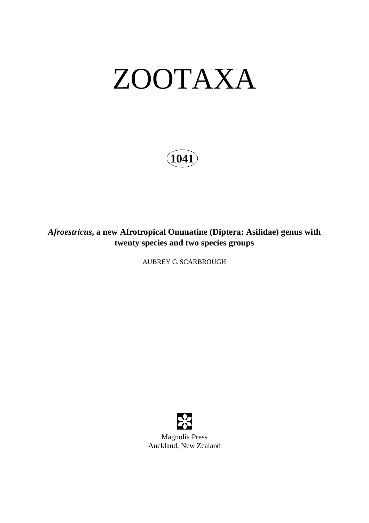# ZOOTAXA

**1041**

*Afroestricus***, a new Afrotropical Ommatine (Diptera: Asilidae) genus with twenty species and two species groups** 

AUBREY G. SCARBROUGH

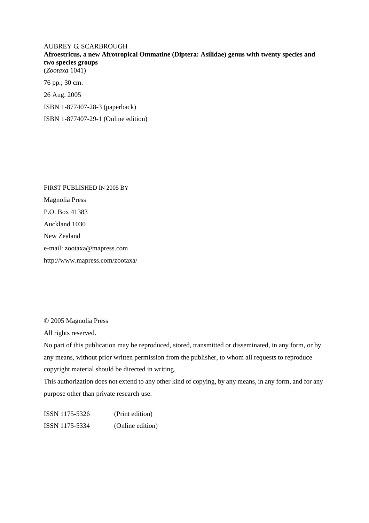### AUBREY G. SCARBROUGH **Afroestricus, a new Afrotropical Ommatine (Diptera: Asilidae) genus with twenty species and two species groups**  (*Zootaxa* 1041) 76 pp.; 30 cm. 26 Aug. 2005 ISBN 1-877407-28-3 (paperback)

ISBN 1-877407-29-1 (Online edition)

FIRST PUBLISHED IN 2005 BY Magnolia Press P.O. Box 41383 Auckland 1030 New Zealand e-mail: zootaxa@mapress.com http://www.mapress.com/zootaxa/

© 2005 Magnolia Press

All rights reserved.

No part of this publication may be reproduced, stored, transmitted or disseminated, in any form, or by any means, without prior written permission from the publisher, to whom all requests to reproduce copyright material should be directed in writing.

This authorization does not extend to any other kind of copying, by any means, in any form, and for any purpose other than private research use.

ISSN 1175-5326 (Print edition) ISSN 1175-5334 (Online edition)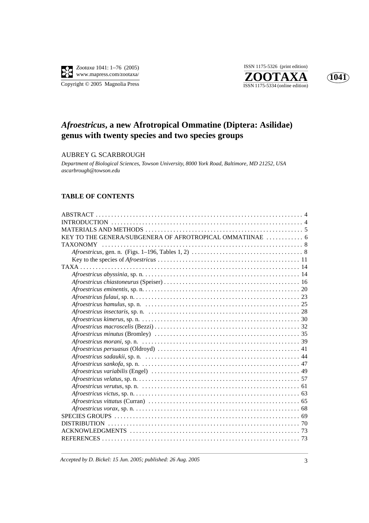

**ZOOTAXA**<br>
ISSN 1175-5334 (online edition) ISSN 1175-5326 (print edition)



## *Afroestricus***, a new Afrotropical Ommatine (Diptera: Asilidae) genus with twenty species and two species groups**

#### AUBREY G. SCARBROUGH

*Department of Biological Sciences, Towson University, 8000 York Road, Baltimore, MD 21252, USA ascarbrough@towson.edu*

#### **TABLE OF CONTENTS**

| <b>TAXONOMY</b>     |
|---------------------|
|                     |
|                     |
|                     |
|                     |
|                     |
|                     |
|                     |
|                     |
|                     |
|                     |
|                     |
|                     |
|                     |
|                     |
|                     |
|                     |
|                     |
|                     |
|                     |
|                     |
|                     |
|                     |
|                     |
|                     |
|                     |
|                     |
|                     |
| <b>DISTRIBUTION</b> |
|                     |
|                     |

*Accepted by D. Bickel: 15 Jun. 2005; published: 26 Aug. 2005* 3